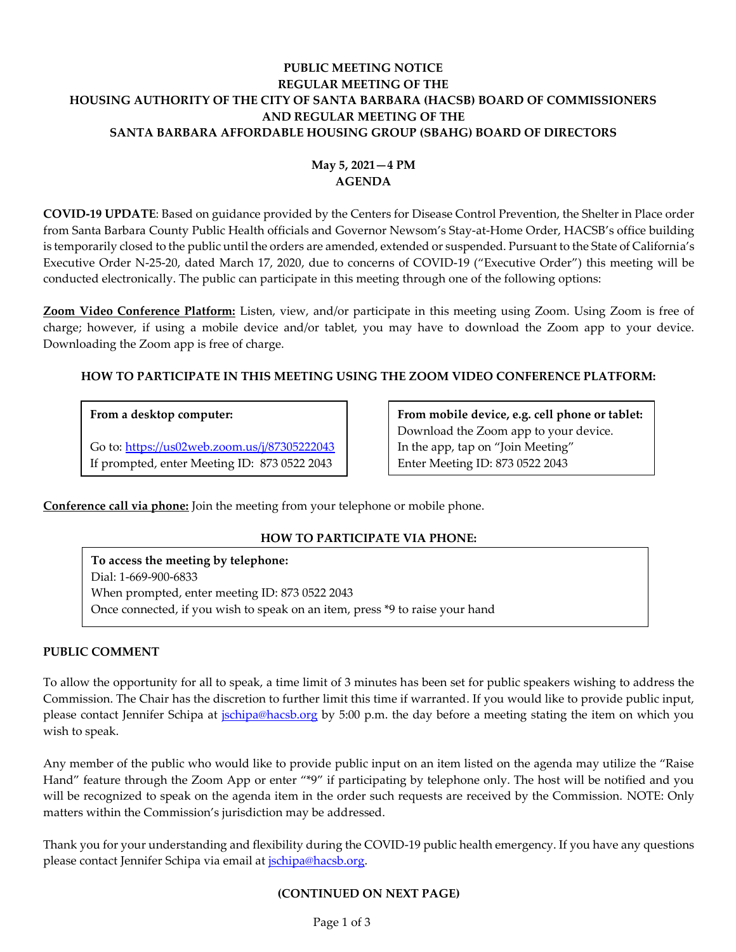# **PUBLIC MEETING NOTICE REGULAR MEETING OF THE HOUSING AUTHORITY OF THE CITY OF SANTA BARBARA (HACSB) BOARD OF COMMISSIONERS AND REGULAR MEETING OF THE SANTA BARBARA AFFORDABLE HOUSING GROUP (SBAHG) BOARD OF DIRECTORS**

# **May 5, 2021—4 PM AGENDA**

**COVID-19 UPDATE**: Based on guidance provided by the Centers for Disease Control Prevention, the Shelter in Place order from Santa Barbara County Public Health officials and Governor Newsom's Stay-at-Home Order, HACSB's office building is temporarily closed to the public until the orders are amended, extended or suspended. Pursuant to the State of California's Executive Order N-25-20, dated March 17, 2020, due to concerns of COVID-19 ("Executive Order") this meeting will be conducted electronically. The public can participate in this meeting through one of the following options:

**Zoom Video Conference Platform:** Listen, view, and/or participate in this meeting using Zoom. Using Zoom is free of charge; however, if using a mobile device and/or tablet, you may have to download the Zoom app to your device. Downloading the Zoom app is free of charge.

# **HOW TO PARTICIPATE IN THIS MEETING USING THE ZOOM VIDEO CONFERENCE PLATFORM:**

## **From a desktop computer:**

Go to:<https://us02web.zoom.us/j/87305222043> If prompted, enter Meeting ID: 873 0522 2043

**From mobile device, e.g. cell phone or tablet:** Download the Zoom app to your device. In the app, tap on "Join Meeting" Enter Meeting ID: 873 0522 2043

**Conference call via phone:** Join the meeting from your telephone or mobile phone.

# **HOW TO PARTICIPATE VIA PHONE:**

**To access the meeting by telephone:** Dial: 1-669-900-6833 When prompted, enter meeting ID: 873 0522 2043 Once connected, if you wish to speak on an item, press \*9 to raise your hand

### **PUBLIC COMMENT**

To allow the opportunity for all to speak, a time limit of 3 minutes has been set for public speakers wishing to address the Commission. The Chair has the discretion to further limit this time if warranted. If you would like to provide public input, please contact Jennifer Schipa at *jschipa@hacsb.org* by 5:00 p.m. the day before a meeting stating the item on which you wish to speak.

Any member of the public who would like to provide public input on an item listed on the agenda may utilize the "Raise Hand" feature through the Zoom App or enter "\*9" if participating by telephone only. The host will be notified and you will be recognized to speak on the agenda item in the order such requests are received by the Commission. NOTE: Only matters within the Commission's jurisdiction may be addressed.

Thank you for your understanding and flexibility during the COVID-19 public health emergency. If you have any questions please contact Jennifer Schipa via email at [jschipa@hacsb.org.](mailto:jschipa@hacsb.org)

### **(CONTINUED ON NEXT PAGE)**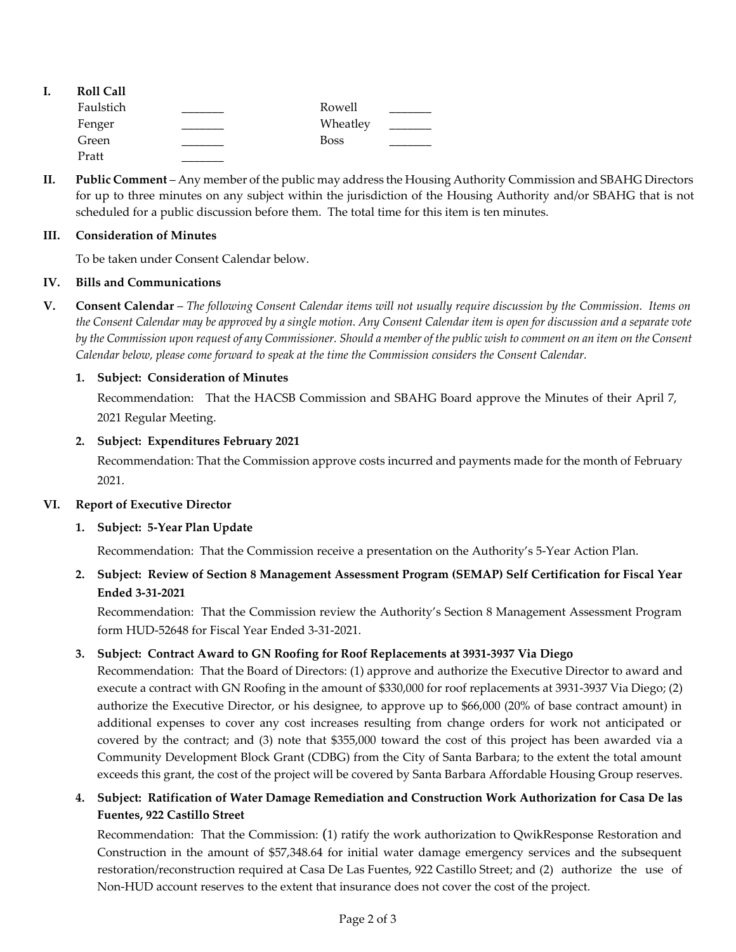| ı. | <b>Roll Call</b> |             |  |
|----|------------------|-------------|--|
|    | Faulstich        | Rowell      |  |
|    | Fenger           | Wheatley    |  |
|    | Green            | <b>Boss</b> |  |
|    | Pratt            |             |  |

**II. Public Comment** – Any member of the public may address the Housing Authority Commission and SBAHG Directors for up to three minutes on any subject within the jurisdiction of the Housing Authority and/or SBAHG that is not scheduled for a public discussion before them. The total time for this item is ten minutes.

### **III. Consideration of Minutes**

To be taken under Consent Calendar below.

## **IV. Bills and Communications**

**V. Consent Calendar** – *The following Consent Calendar items will not usually require discussion by the Commission. Items on the Consent Calendar may be approved by a single motion. Any Consent Calendar item is open for discussion and a separate vote by the Commission upon request of any Commissioner. Should a member of the public wish to comment on an item on the Consent Calendar below, please come forward to speak at the time the Commission considers the Consent Calendar.*

## **1. Subject: Consideration of Minutes**

[Recommendation: That the HACSB Commission and SBAHG Board approve the Minutes of their](https://hacsb.org/download/meetings_2021/items/may/Item-V.1_Minutes-04-07-2021.pdf) April 7, 2021 Regular Meeting.

## **2. Subject: Expenditures February 2021**

[Recommendation: That the Commission approve costs incurred and payments made for the month of February](https://hacsb.org/download/meetings_2021/items/may/Item-V.2_February-2021-Expenditures.pdf) 2021.

### **VI. Report of Executive Director**

### **1. Subject: 5-Year Plan Update**

[Recommendation: That the Commission receive a presentation on](https://hacsb.org/download/meetings_2021/items/may/Item-VI.1_5-Year-Action-Plan-Update.pdf) the Authority's 5-Year Action Plan.

# **2. [Subject: Review of Section 8 Management Assessment Program \(SEMAP\) Self Certification for Fiscal Year](https://hacsb.org/download/meetings_2021/items/may/Item-VI.2_SEMAP-Review-FYE-03-31-21.pdf) Ended 3-31-2021**

Recommendation: That the Commission review the Authority's Section 8 Management Assessment Program form HUD-52648 for Fiscal Year Ended 3-31-2021.

# **3. Subject: Contract Award to GN Roofing for Roof Replacements at 3931-3937 Via Diego**

[Recommendation: That the Board of Directors: \(1\) approve and authorize the Executive Director to award and](https://hacsb.org/download/meetings_2021/items/may/Item-VI.3_Via-Diego-Roof-Replacement.pdf) execute a contract with GN Roofing in the amount of \$330,000 for roof replacements at 3931-3937 Via Diego; (2) authorize the Executive Director, or his designee, to approve up to \$66,000 (20% of base contract amount) in additional expenses to cover any cost increases resulting from change orders for work not anticipated or covered by the contract; and (3) note that \$355,000 toward the cost of this project has been awarded via a Community Development Block Grant (CDBG) from the City of Santa Barbara; to the extent the total amount exceeds this grant, the cost of the project will be covered by Santa Barbara Affordable Housing Group reserves.

## **4. [Subject: Ratification of Water Damage Remediation and Construction Work Authorization for Casa De las](https://hacsb.org/download/meetings_2021/items/may/Item-VI.4_Casa-De-Las-Fuentes-Water-Remediation.pdf) Fuentes, 922 Castillo Street**

Recommendation: That the Commission: (1) ratify the work authorization to QwikResponse Restoration and Construction in the amount of \$57,348.64 for initial water damage emergency services and the subsequent restoration/reconstruction required at Casa De Las Fuentes, 922 Castillo Street; and (2) authorize the use of Non-HUD account reserves to the extent that insurance does not cover the cost of the project.